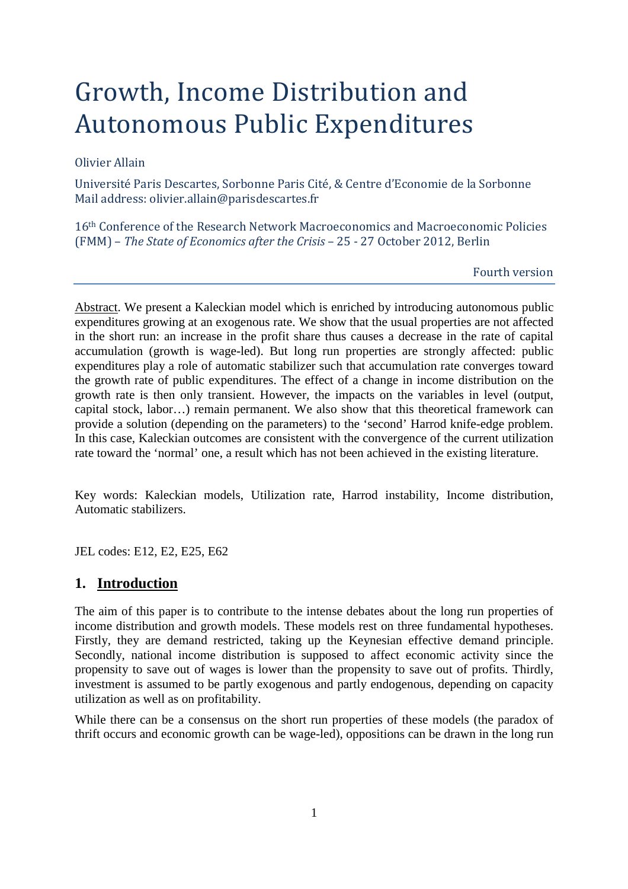# Growth, Income Distribution and Autonomous Public Expenditures

#### Olivier Allain

Université Paris Descartes, Sorbonne Paris Cité, & Centre d'Economie de la Sorbonne Mail address: olivier.allain@parisdescartes.fr

16th Conference of the Research Network Macroeconomics and Macroeconomic Policies (FMM) – *The State of Economics after the Crisis* – 25 - 27 October 2012, Berlin

Fourth version

Abstract. We present a Kaleckian model which is enriched by introducing autonomous public expenditures growing at an exogenous rate. We show that the usual properties are not affected in the short run: an increase in the profit share thus causes a decrease in the rate of capital accumulation (growth is wage-led). But long run properties are strongly affected: public expenditures play a role of automatic stabilizer such that accumulation rate converges toward the growth rate of public expenditures. The effect of a change in income distribution on the growth rate is then only transient. However, the impacts on the variables in level (output, capital stock, labor…) remain permanent. We also show that this theoretical framework can provide a solution (depending on the parameters) to the 'second' Harrod knife-edge problem. In this case, Kaleckian outcomes are consistent with the convergence of the current utilization rate toward the 'normal' one, a result which has not been achieved in the existing literature.

Key words: Kaleckian models, Utilization rate, Harrod instability, Income distribution, Automatic stabilizers.

JEL codes: E12, E2, E25, E62

## **1. Introduction**

The aim of this paper is to contribute to the intense debates about the long run properties of income distribution and growth models. These models rest on three fundamental hypotheses. Firstly, they are demand restricted, taking up the Keynesian effective demand principle. Secondly, national income distribution is supposed to affect economic activity since the propensity to save out of wages is lower than the propensity to save out of profits. Thirdly, investment is assumed to be partly exogenous and partly endogenous, depending on capacity utilization as well as on profitability.

While there can be a consensus on the short run properties of these models (the paradox of thrift occurs and economic growth can be wage-led), oppositions can be drawn in the long run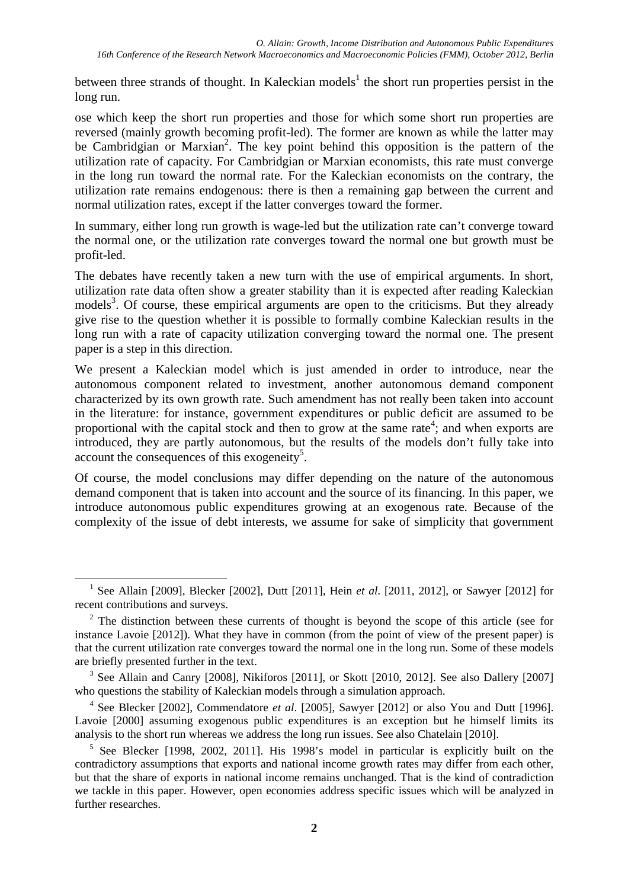between three strands of thought. In Kaleckian models<sup>1</sup> the short run properties persist in the long run.

ose which keep the short run properties and those for which some short run properties are reversed (mainly growth becoming profit-led). The former are known as while the latter may be Cambridgian or Marxian<sup>2</sup>. The key point behind this opposition is the pattern of the utilization rate of capacity. For Cambridgian or Marxian economists, this rate must converge in the long run toward the normal rate. For the Kaleckian economists on the contrary, the utilization rate remains endogenous: there is then a remaining gap between the current and normal utilization rates, except if the latter converges toward the former.

In summary, either long run growth is wage-led but the utilization rate can't converge toward the normal one, or the utilization rate converges toward the normal one but growth must be profit-led.

The debates have recently taken a new turn with the use of empirical arguments. In short, utilization rate data often show a greater stability than it is expected after reading Kaleckian models<sup>3</sup>. Of course, these empirical arguments are open to the criticisms. But they already give rise to the question whether it is possible to formally combine Kaleckian results in the long run with a rate of capacity utilization converging toward the normal one. The present paper is a step in this direction.

We present a Kaleckian model which is just amended in order to introduce, near the autonomous component related to investment, another autonomous demand component characterized by its own growth rate. Such amendment has not really been taken into account in the literature: for instance, government expenditures or public deficit are assumed to be proportional with the capital stock and then to grow at the same rate<sup>4</sup>; and when exports are introduced, they are partly autonomous, but the results of the models don't fully take into account the consequences of this exogeneity<sup>5</sup>.

Of course, the model conclusions may differ depending on the nature of the autonomous demand component that is taken into account and the source of its financing. In this paper, we introduce autonomous public expenditures growing at an exogenous rate. Because of the complexity of the issue of debt interests, we assume for sake of simplicity that government

<sup>1</sup> See Allain [2009], Blecker [2002], Dutt [2011], Hein *et al*. [2011, 2012], or Sawyer [2012] for recent contributions and surveys.

 $2^2$  The distinction between these currents of thought is beyond the scope of this article (see for instance Lavoie [2012]). What they have in common (from the point of view of the present paper) is that the current utilization rate converges toward the normal one in the long run. Some of these models are briefly presented further in the text.

<sup>&</sup>lt;sup>3</sup> See Allain and Canry [2008], Nikiforos [2011], or Skott [2010, 2012]. See also Dallery [2007] who questions the stability of Kaleckian models through a simulation approach.

<sup>4</sup> See Blecker [2002], Commendatore *et al*. [2005], Sawyer [2012] or also You and Dutt [1996]. Lavoie [2000] assuming exogenous public expenditures is an exception but he himself limits its analysis to the short run whereas we address the long run issues. See also Chatelain [2010].

<sup>&</sup>lt;sup>5</sup> See Blecker [1998, 2002, 2011]. His 1998's model in particular is explicitly built on the contradictory assumptions that exports and national income growth rates may differ from each other, but that the share of exports in national income remains unchanged. That is the kind of contradiction we tackle in this paper. However, open economies address specific issues which will be analyzed in further researches.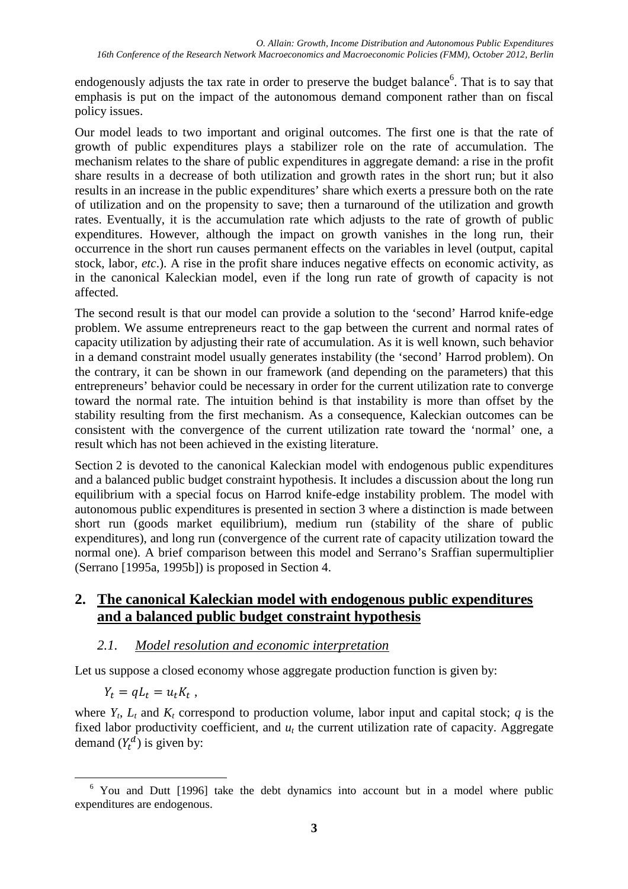endogenously adjusts the tax rate in order to preserve the budget balance<sup>6</sup>. That is to say that emphasis is put on the impact of the autonomous demand component rather than on fiscal policy issues.

Our model leads to two important and original outcomes. The first one is that the rate of growth of public expenditures plays a stabilizer role on the rate of accumulation. The mechanism relates to the share of public expenditures in aggregate demand: a rise in the profit share results in a decrease of both utilization and growth rates in the short run; but it also results in an increase in the public expenditures' share which exerts a pressure both on the rate of utilization and on the propensity to save; then a turnaround of the utilization and growth rates. Eventually, it is the accumulation rate which adjusts to the rate of growth of public expenditures. However, although the impact on growth vanishes in the long run, their occurrence in the short run causes permanent effects on the variables in level (output, capital stock, labor, *etc*.). A rise in the profit share induces negative effects on economic activity, as in the canonical Kaleckian model, even if the long run rate of growth of capacity is not affected.

The second result is that our model can provide a solution to the 'second' Harrod knife-edge problem. We assume entrepreneurs react to the gap between the current and normal rates of capacity utilization by adjusting their rate of accumulation. As it is well known, such behavior in a demand constraint model usually generates instability (the 'second' Harrod problem). On the contrary, it can be shown in our framework (and depending on the parameters) that this entrepreneurs' behavior could be necessary in order for the current utilization rate to converge toward the normal rate. The intuition behind is that instability is more than offset by the stability resulting from the first mechanism. As a consequence, Kaleckian outcomes can be consistent with the convergence of the current utilization rate toward the 'normal' one, a result which has not been achieved in the existing literature.

Section 2 is devoted to the canonical Kaleckian model with endogenous public expenditures and a balanced public budget constraint hypothesis. It includes a discussion about the long run equilibrium with a special focus on Harrod knife-edge instability problem. The model with autonomous public expenditures is presented in section 3 where a distinction is made between short run (goods market equilibrium), medium run (stability of the share of public expenditures), and long run (convergence of the current rate of capacity utilization toward the normal one). A brief comparison between this model and Serrano's Sraffian supermultiplier (Serrano [1995a, 1995b]) is proposed in Section 4.

# **2. The canonical Kaleckian model with endogenous public expenditures and a balanced public budget constraint hypothesis**

# *2.1. Model resolution and economic interpretation*

Let us suppose a closed economy whose aggregate production function is given by:

$$
Y_t = qL_t = u_t K_t,
$$

where  $Y_t$ ,  $L_t$  and  $K_t$  correspond to production volume, labor input and capital stock;  $q$  is the fixed labor productivity coefficient, and  $u_t$  the current utilization rate of capacity. Aggregate demand  $(Y_t^d)$  is given by:

 $\overline{a}$ <sup>6</sup> You and Dutt [1996] take the debt dynamics into account but in a model where public expenditures are endogenous.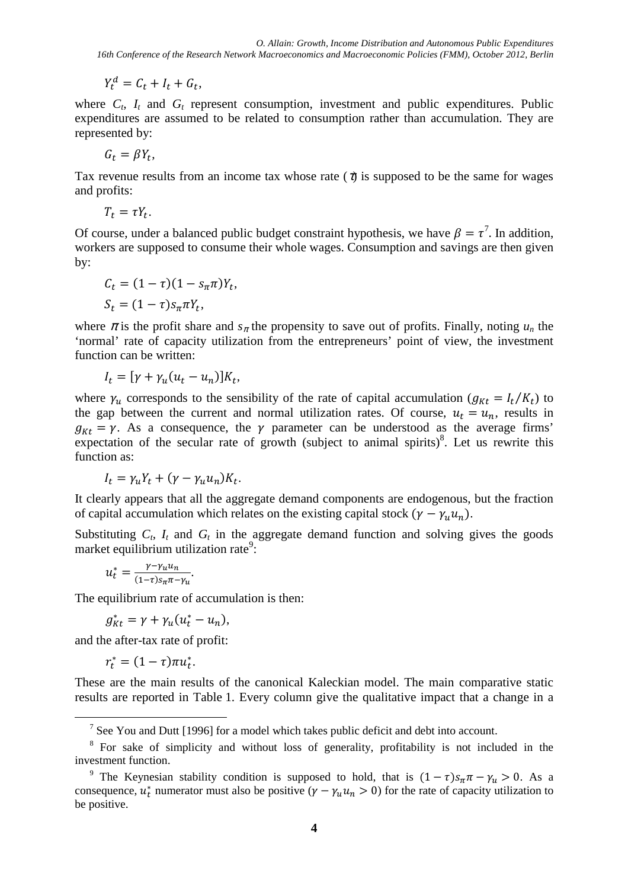$Y_t^d = C_t + I_t + G_t,$ 

where  $C_t$ ,  $I_t$  and  $G_t$  represent consumption, investment and public expenditures. Public expenditures are assumed to be related to consumption rather than accumulation. They are represented by:

$$
G_t = \beta Y_t,
$$

Tax revenue results from an income tax whose rate  $(\tau)$  is supposed to be the same for wages and profits:

$$
T_t = \tau Y_t.
$$

Of course, under a balanced public budget constraint hypothesis, we have  $\beta = \tau^7$ . In addition, workers are supposed to consume their whole wages. Consumption and savings are then given by:

$$
C_t = (1 - \tau)(1 - s_\pi \pi)Y_t,
$$
  
\n
$$
S_t = (1 - \tau)s_\pi \pi Y_t,
$$

where  $\pi$  is the profit share and  $s_{\pi}$  the propensity to save out of profits. Finally, noting  $u_n$  the 'normal' rate of capacity utilization from the entrepreneurs' point of view, the investment function can be written:

$$
I_t = [\gamma + \gamma_u (u_t - u_n)] K_t,
$$

where  $\gamma_u$  corresponds to the sensibility of the rate of capital accumulation ( $g_{Kt} = I_t/K_t$ ) to the gap between the current and normal utilization rates. Of course,  $u_t = u_n$ , results in  $g_{Kt} = \gamma$ . As a consequence, the  $\gamma$  parameter can be understood as the average firms' expectation of the secular rate of growth (subject to animal spirits) $\delta$ . Let us rewrite this function as:

$$
I_t = \gamma_u Y_t + (\gamma - \gamma_u u_n) K_t.
$$

It clearly appears that all the aggregate demand components are endogenous, but the fraction of capital accumulation which relates on the existing capital stock  $(\gamma - \gamma_u u_n)$ .

Substituting  $C_t$ ,  $I_t$  and  $G_t$  in the aggregate demand function and solving gives the goods market equilibrium utilization rate<sup>9</sup>:

$$
u_t^* = \frac{\gamma - \gamma_u u_n}{(1 - \tau) s_{\pi} \pi - \gamma_u}.
$$

The equilibrium rate of accumulation is then:

$$
g_{Kt}^* = \gamma + \gamma_u (u_t^* - u_n),
$$

and the after-tax rate of profit:

$$
r_t^* = (1-\tau)\pi u_t^*.
$$

 $\overline{a}$ 

These are the main results of the canonical Kaleckian model. The main comparative static results are reported in Table 1. Every column give the qualitative impact that a change in a

<sup>&</sup>lt;sup>7</sup> See You and Dutt [1996] for a model which takes public deficit and debt into account.

<sup>&</sup>lt;sup>8</sup> For sake of simplicity and without loss of generality, profitability is not included in the investment function.

<sup>&</sup>lt;sup>9</sup> The Keynesian stability condition is supposed to hold, that is  $(1 - \tau)s_{\pi}\pi - \gamma_u > 0$ . As a consequence,  $u_t^*$  numerator must also be positive  $(\gamma - \gamma_u u_n > 0)$  for the rate of capacity utilization to be positive.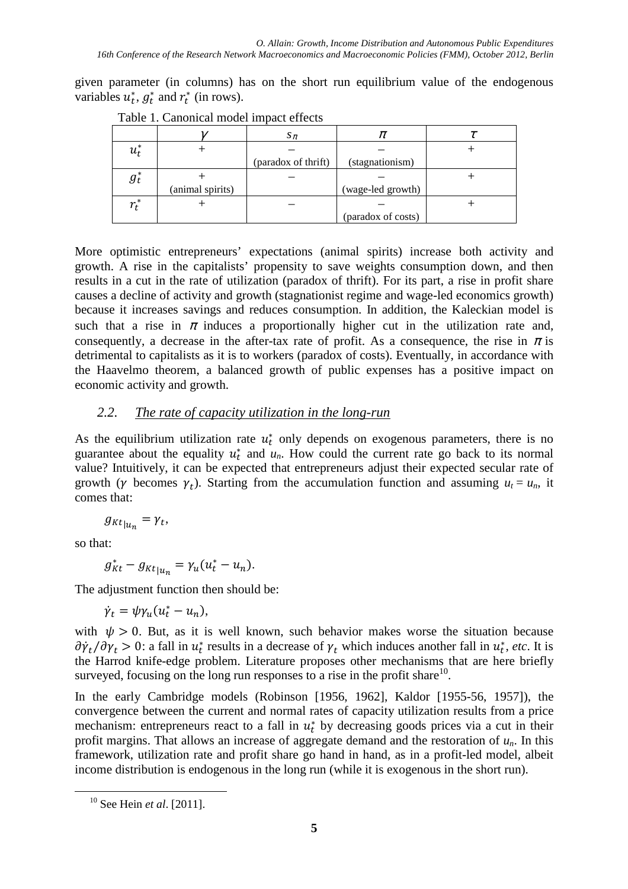given parameter (in columns) has on the short run equilibrium value of the endogenous variables  $u_t^*$ ,  $g_t^*$  and  $r_t^*$  (in rows).

|              |                  | $S_{\pi}$           | π                  |  |
|--------------|------------------|---------------------|--------------------|--|
| $u_t^*$      |                  |                     |                    |  |
|              |                  | (paradox of thrift) | (stagnationism)    |  |
| $g_t^*$      |                  |                     |                    |  |
|              | (animal spirits) |                     | (wage-led growth)  |  |
| $r^*$<br>I + |                  |                     |                    |  |
|              |                  |                     | (paradox of costs) |  |

Table 1. Canonical model impact effects

More optimistic entrepreneurs' expectations (animal spirits) increase both activity and growth. A rise in the capitalists' propensity to save weights consumption down, and then results in a cut in the rate of utilization (paradox of thrift). For its part, a rise in profit share causes a decline of activity and growth (stagnationist regime and wage-led economics growth) because it increases savings and reduces consumption. In addition, the Kaleckian model is such that a rise in  $\pi$  induces a proportionally higher cut in the utilization rate and, consequently, a decrease in the after-tax rate of profit. As a consequence, the rise in  $\pi$  is detrimental to capitalists as it is to workers (paradox of costs). Eventually, in accordance with the Haavelmo theorem, a balanced growth of public expenses has a positive impact on economic activity and growth.

## *2.2. The rate of capacity utilization in the long-run*

As the equilibrium utilization rate  $u_t^*$  only depends on exogenous parameters, there is no guarantee about the equality  $u_t^*$  and  $u_n$ . How could the current rate go back to its normal value? Intuitively, it can be expected that entrepreneurs adjust their expected secular rate of growth ( $\gamma$  becomes  $\gamma_t$ ). Starting from the accumulation function and assuming  $u_t = u_n$ , it comes that:

$$
g_{Kt}{}_{|u_n}=\gamma_t,
$$

so that:

 $\overline{a}$ 

$$
g_{Kt}^* - g_{Kt}{}_{|u_n} = \gamma_u (u_t^* - u_n).
$$

The adjustment function then should be:

$$
\dot{\gamma}_t = \psi \gamma_u (u_t^* - u_n),
$$

with  $\psi > 0$ . But, as it is well known, such behavior makes worse the situation because  $\partial \dot{\gamma}_t / \partial \gamma_t > 0$ : a fall in  $u_t^*$  results in a decrease of  $\gamma_t$  which induces another fall in  $u_t^*$ , *etc*. It is the Harrod knife-edge problem. Literature proposes other mechanisms that are here briefly surveyed, focusing on the long run responses to a rise in the profit share $10$ .

In the early Cambridge models (Robinson [1956, 1962], Kaldor [1955-56, 1957]), the convergence between the current and normal rates of capacity utilization results from a price mechanism: entrepreneurs react to a fall in  $u_t^*$  by decreasing goods prices via a cut in their profit margins. That allows an increase of aggregate demand and the restoration of *un*. In this framework, utilization rate and profit share go hand in hand, as in a profit-led model, albeit income distribution is endogenous in the long run (while it is exogenous in the short run).

<sup>10</sup> See Hein *et al*. [2011].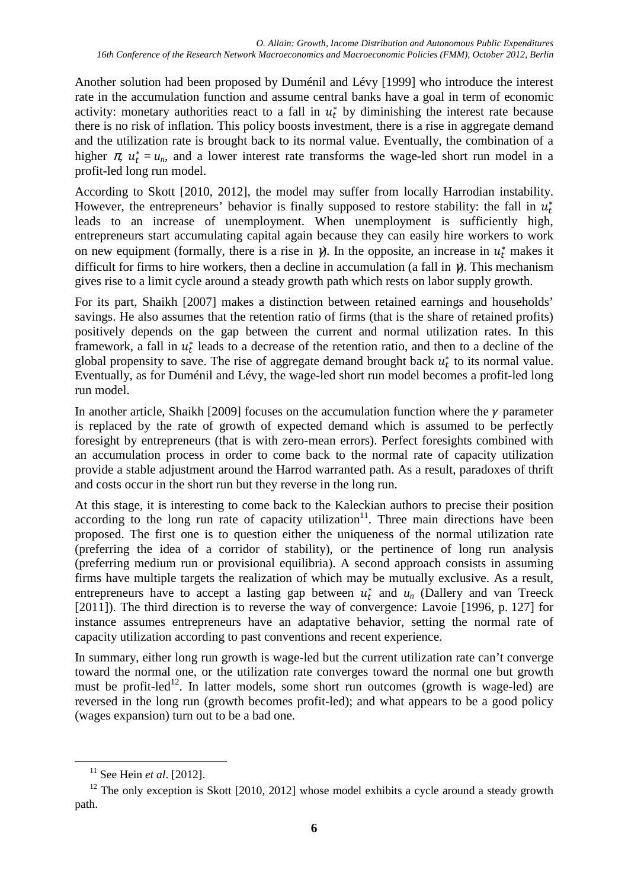Another solution had been proposed by Duménil and Lévy [1999] who introduce the interest rate in the accumulation function and assume central banks have a goal in term of economic activity: monetary authorities react to a fall in  $u_t^*$  by diminishing the interest rate because there is no risk of inflation. This policy boosts investment, there is a rise in aggregate demand and the utilization rate is brought back to its normal value. Eventually, the combination of a higher  $\pi$ ,  $u_t^* = u_n$ , and a lower interest rate transforms the wage-led short run model in a profit-led long run model.

According to Skott [2010, 2012], the model may suffer from locally Harrodian instability. However, the entrepreneurs' behavior is finally supposed to restore stability: the fall in  $u_t^*$ leads to an increase of unemployment. When unemployment is sufficiently high, entrepreneurs start accumulating capital again because they can easily hire workers to work on new equipment (formally, there is a rise in  $\gamma$ ). In the opposite, an increase in  $u_t^*$  makes it difficult for firms to hire workers, then a decline in accumulation (a fall in  $\gamma$ ). This mechanism gives rise to a limit cycle around a steady growth path which rests on labor supply growth.

For its part, Shaikh [2007] makes a distinction between retained earnings and households' savings. He also assumes that the retention ratio of firms (that is the share of retained profits) positively depends on the gap between the current and normal utilization rates. In this framework, a fall in  $u_t^*$  leads to a decrease of the retention ratio, and then to a decline of the global propensity to save. The rise of aggregate demand brought back  $u_t^*$  to its normal value. Eventually, as for Duménil and Lévy, the wage-led short run model becomes a profit-led long run model.

In another article, Shaikh [2009] focuses on the accumulation function where the  $\gamma$  parameter is replaced by the rate of growth of expected demand which is assumed to be perfectly foresight by entrepreneurs (that is with zero-mean errors). Perfect foresights combined with an accumulation process in order to come back to the normal rate of capacity utilization provide a stable adjustment around the Harrod warranted path. As a result, paradoxes of thrift and costs occur in the short run but they reverse in the long run.

At this stage, it is interesting to come back to the Kaleckian authors to precise their position according to the long run rate of capacity utilization<sup>11</sup>. Three main directions have been proposed. The first one is to question either the uniqueness of the normal utilization rate (preferring the idea of a corridor of stability), or the pertinence of long run analysis (preferring medium run or provisional equilibria). A second approach consists in assuming firms have multiple targets the realization of which may be mutually exclusive. As a result, entrepreneurs have to accept a lasting gap between  $u_t^*$  and  $u_n$  (Dallery and van Treeck [2011]). The third direction is to reverse the way of convergence: Lavoie [1996, p. 127] for instance assumes entrepreneurs have an adaptative behavior, setting the normal rate of capacity utilization according to past conventions and recent experience.

In summary, either long run growth is wage-led but the current utilization rate can't converge toward the normal one, or the utilization rate converges toward the normal one but growth must be profit-led<sup>12</sup>. In latter models, some short run outcomes (growth is wage-led) are reversed in the long run (growth becomes profit-led); and what appears to be a good policy (wages expansion) turn out to be a bad one.

<sup>11</sup> See Hein *et al*. [2012].

 $12$  The only exception is Skott [2010, 2012] whose model exhibits a cycle around a steady growth path.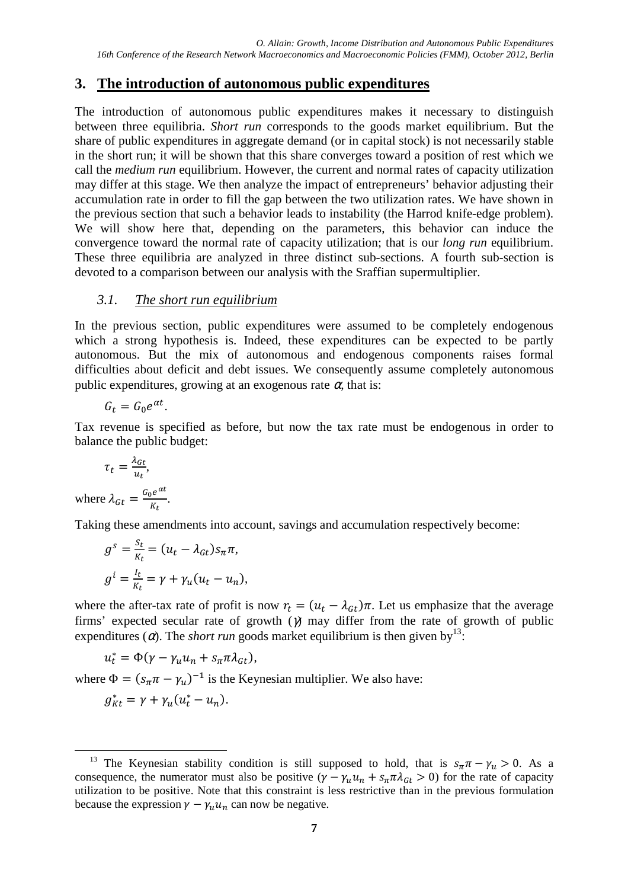## **3. The introduction of autonomous public expenditures**

The introduction of autonomous public expenditures makes it necessary to distinguish between three equilibria. *Short run* corresponds to the goods market equilibrium. But the share of public expenditures in aggregate demand (or in capital stock) is not necessarily stable in the short run; it will be shown that this share converges toward a position of rest which we call the *medium run* equilibrium. However, the current and normal rates of capacity utilization may differ at this stage. We then analyze the impact of entrepreneurs' behavior adjusting their accumulation rate in order to fill the gap between the two utilization rates. We have shown in the previous section that such a behavior leads to instability (the Harrod knife-edge problem). We will show here that, depending on the parameters, this behavior can induce the convergence toward the normal rate of capacity utilization; that is our *long run* equilibrium. These three equilibria are analyzed in three distinct sub-sections. A fourth sub-section is devoted to a comparison between our analysis with the Sraffian supermultiplier.

#### *3.1. The short run equilibrium*

In the previous section, public expenditures were assumed to be completely endogenous which a strong hypothesis is. Indeed, these expenditures can be expected to be partly autonomous. But the mix of autonomous and endogenous components raises formal difficulties about deficit and debt issues. We consequently assume completely autonomous public expenditures, growing at an exogenous rate  $\alpha$ , that is:

$$
G_t = G_0 e^{\alpha t}.
$$

Tax revenue is specified as before, but now the tax rate must be endogenous in order to balance the public budget:

$$
\tau_t = \frac{\lambda_{Gt}}{u_t},
$$
  
where 
$$
\lambda_{Gt} = \frac{G_0 e^{\alpha t}}{K_t}
$$

Taking these amendments into account, savings and accumulation respectively become:

$$
g^{s} = \frac{S_{t}}{\kappa_{t}} = (u_{t} - \lambda_{Gt})s_{\pi}\pi,
$$
  

$$
g^{i} = \frac{l_{t}}{\kappa_{t}} = \gamma + \gamma_{u}(u_{t} - u_{n}),
$$

.

where the after-tax rate of profit is now  $r_t = (u_t - \lambda_{gt})\pi$ . Let us emphasize that the average firms' expected secular rate of growth  $(\gamma)$  may differ from the rate of growth of public expenditures ( $\alpha$ ). The *short run* goods market equilibrium is then given by<sup>13</sup>:

$$
u_t^* = \Phi(\gamma - \gamma_u u_n + s_\pi \pi \lambda_{\text{G}t}),
$$

where  $\Phi = (s_{\pi} \pi - \gamma_u)^{-1}$  is the Keynesian multiplier. We also have:

$$
g_{Kt}^* = \gamma + \gamma_u (u_t^* - u_n).
$$

<sup>&</sup>lt;sup>13</sup> The Keynesian stability condition is still supposed to hold, that is  $s_n \pi - \gamma_u > 0$ . As a consequence, the numerator must also be positive  $(\gamma - \gamma_u u_n + s_n \pi \lambda_{\text{G}_t} > 0)$  for the rate of capacity utilization to be positive. Note that this constraint is less restrictive than in the previous formulation because the expression  $\gamma - \gamma_u u_n$  can now be negative.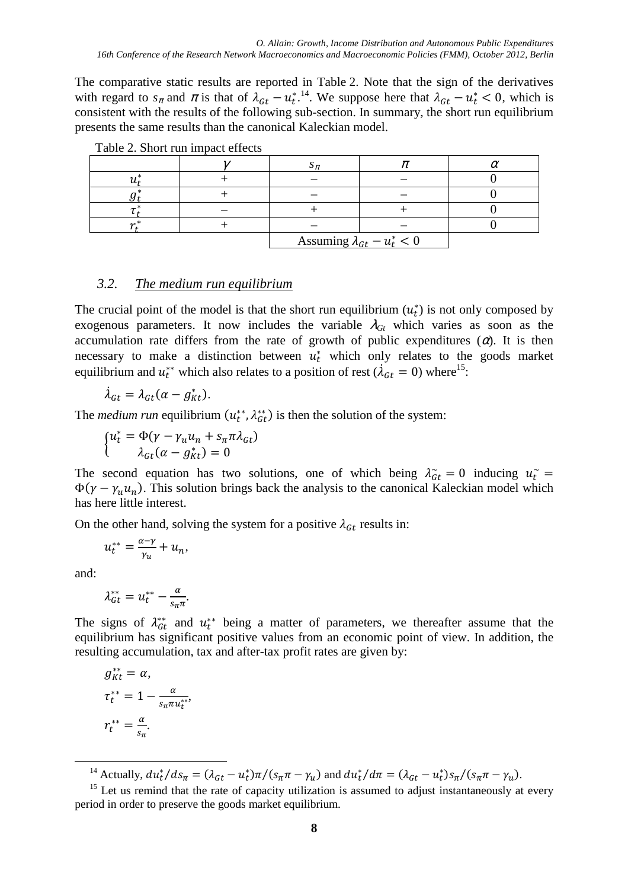The comparative static results are reported in Table 2. Note that the sign of the derivatives with regard to  $s_{\pi}$  and  $\pi$  is that of  $\lambda_{Gt} - u_t^{*}}$ . We suppose here that  $\lambda_{Gt} - u_t^{*} < 0$ , which is consistent with the results of the following sub-section. In summary, the short run equilibrium presents the same results than the canonical Kaleckian model.

|  | Assuming $\lambda_{Gt} - u_t^* < 0$ |  |  |
|--|-------------------------------------|--|--|

Table 2. Short run impact effects

#### *3.2. The medium run equilibrium*

The crucial point of the model is that the short run equilibrium  $(u_t^*)$  is not only composed by exogenous parameters. It now includes the variable  $\lambda_{\text{G}_t}$  which varies as soon as the accumulation rate differs from the rate of growth of public expenditures  $(\alpha)$ . It is then necessary to make a distinction between  $u_t^*$  which only relates to the goods market equilibrium and  $u_t^{**}$  which also relates to a position of rest ( $\lambda_{Gt} = 0$ ) where<sup>15</sup>:

$$
\dot{\lambda}_{Gt} = \lambda_{Gt} (\alpha - g_{Kt}^*).
$$

The *medium run* equilibrium  $(u_t^{**}, \lambda_{gt}^{**})$  is then the solution of the system:

$$
\begin{cases} u_t^* = \Phi(\gamma - \gamma_u u_n + s_\pi \pi \lambda_{Gt}) \\ \lambda_{Gt}(\alpha - g_{kt}^*) = 0 \end{cases}
$$

The second equation has two solutions, one of which being  $\lambda_{\alpha t}^{\sim} = 0$  inducing  $u_t^{\sim} =$  $\Phi(\gamma - \gamma_u u_n)$ . This solution brings back the analysis to the canonical Kaleckian model which has here little interest.

On the other hand, solving the system for a positive  $\lambda_{\text{G}t}$  results in:

$$
u_t^{**} = \frac{\alpha - \gamma}{\gamma_u} + u_n,
$$

and:

 $\overline{a}$ 

$$
\lambda_{Gt}^{**}=u_t^{**}-\frac{\alpha}{s_{\pi}\pi}.
$$

The signs of  $\lambda_{\text{G}t}^{**}$  and  $u_t^{**}$  being a matter of parameters, we thereafter assume that the equilibrium has significant positive values from an economic point of view. In addition, the resulting accumulation, tax and after-tax profit rates are given by:

$$
g_{Kt}^{**} = \alpha,
$$
  
\n
$$
\tau_t^{**} = 1 - \frac{\alpha}{s_{\pi} \pi u_t^{**}},
$$
  
\n
$$
r_t^{**} = \frac{\alpha}{s_{\pi}}.
$$

<sup>14</sup> Actually,  $du_t^*/ds_\pi = (\lambda_{Gt} - u_t^*)\pi/(s_\pi \pi - \gamma_u)$  and  $du_t^*/d\pi = (\lambda_{Gt} - u_t^*)s_\pi/(s_\pi \pi - \gamma_u)$ .

 $15$  Let us remind that the rate of capacity utilization is assumed to adjust instantaneously at every period in order to preserve the goods market equilibrium.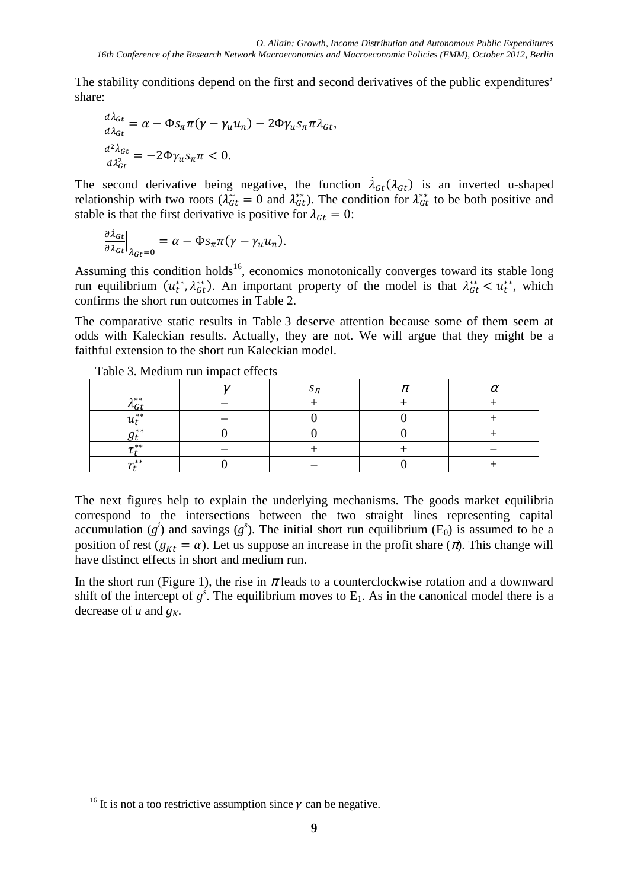The stability conditions depend on the first and second derivatives of the public expenditures' share:

$$
\frac{d\lambda_{Gt}}{d\lambda_{Gt}} = \alpha - \Phi s_{\pi} \pi (\gamma - \gamma_u u_n) - 2\Phi \gamma_u s_{\pi} \pi \lambda_{Gt},
$$

$$
\frac{d^2 \lambda_{Gt}}{d\lambda_{Gt}^2} = -2\Phi \gamma_u s_{\pi} \pi < 0.
$$

The second derivative being negative, the function  $\lambda_{G_t}(\lambda_{G_t})$  is an inverted u-shaped relationship with two roots ( $\lambda_{Gt}^* = 0$  and  $\lambda_{Gt}^{**}$ ). The condition for  $\lambda_{Gt}^{**}$  to be both positive and stable is that the first derivative is positive for  $\lambda_{Gt} = 0$ :

$$
\frac{\partial \lambda_{Gt}}{\partial \lambda_{Gt}}\Big|_{\lambda_{Gt}=0} = \alpha - \Phi s_{\pi} \pi (\gamma - \gamma_u u_n).
$$

Assuming this condition holds<sup>16</sup>, economics monotonically converges toward its stable long run equilibrium  $(u_t^{**}, \lambda_{Gt}^{**})$ . An important property of the model is that  $\lambda_{Gt}^{**} < u_t^{**}$ , which confirms the short run outcomes in Table 2.

The comparative static results in Table 3 deserve attention because some of them seem at odds with Kaleckian results. Actually, they are not. We will argue that they might be a faithful extension to the short run Kaleckian model.

|                 | $\mathbf{A}$ |  |  |
|-----------------|--------------|--|--|
| $x *$           |              |  |  |
| . **            |              |  |  |
| **              |              |  |  |
| $**$            |              |  |  |
| $\mathbf{a}$ ** |              |  |  |

Table 3. Medium run impact effects

The next figures help to explain the underlying mechanisms. The goods market equilibria correspond to the intersections between the two straight lines representing capital accumulation  $(g^i)$  and savings  $(g^s)$ . The initial short run equilibrium  $(E_0)$  is assumed to be a position of rest ( $g_{Kt} = \alpha$ ). Let us suppose an increase in the profit share ( $\pi$ ). This change will have distinct effects in short and medium run.

In the short run (Figure 1), the rise in  $\pi$  leads to a counterclockwise rotation and a downward shift of the intercept of  $g^s$ . The equilibrium moves to  $E_1$ . As in the canonical model there is a decrease of *u* and *gK*.

<sup>&</sup>lt;sup>16</sup> It is not a too restrictive assumption since  $\gamma$  can be negative.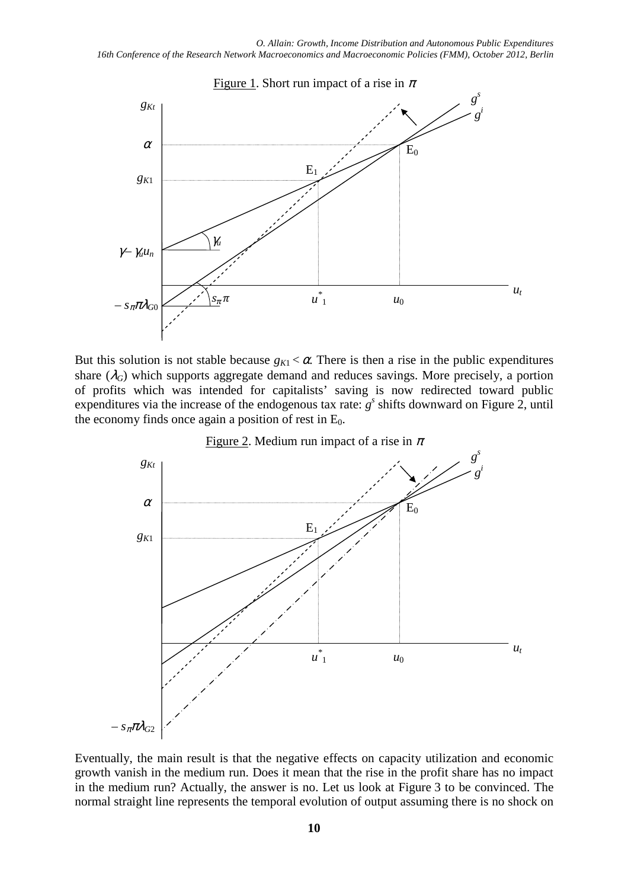

But this solution is not stable because  $g_{K1} < \alpha$ . There is then a rise in the public expenditures share  $(\lambda_G)$  which supports aggregate demand and reduces savings. More precisely, a portion of profits which was intended for capitalists' saving is now redirected toward public expenditures via the increase of the endogenous tax rate:  $g^s$  shifts downward on Figure 2, until the economy finds once again a position of rest in  $E_0$ .





Eventually, the main result is that the negative effects on capacity utilization and economic growth vanish in the medium run. Does it mean that the rise in the profit share has no impact in the medium run? Actually, the answer is no. Let us look at Figure 3 to be convinced. The normal straight line represents the temporal evolution of output assuming there is no shock on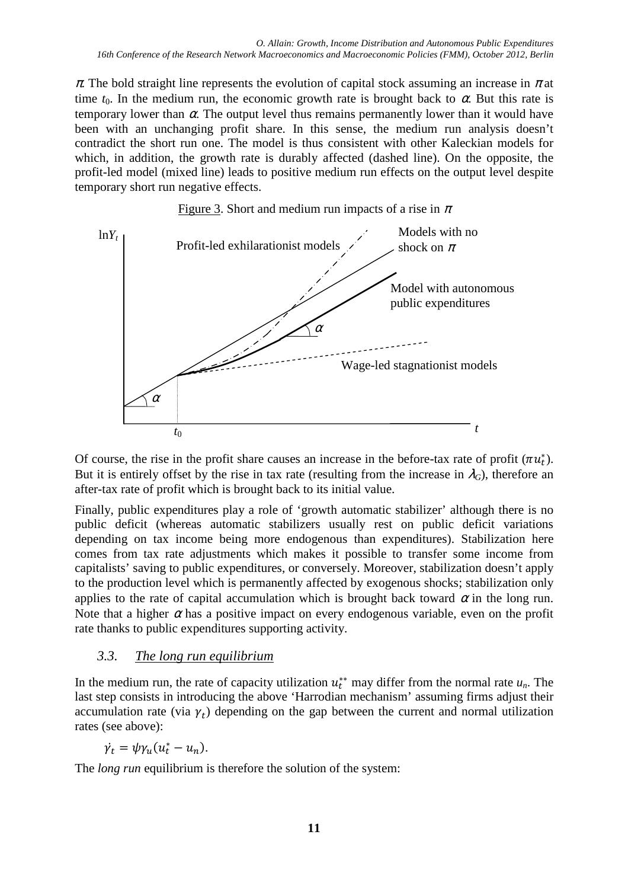$\pi$ . The bold straight line represents the evolution of capital stock assuming an increase in  $\pi$  at time  $t_0$ . In the medium run, the economic growth rate is brought back to  $\alpha$ . But this rate is temporary lower than  $\alpha$ . The output level thus remains permanently lower than it would have been with an unchanging profit share. In this sense, the medium run analysis doesn't contradict the short run one. The model is thus consistent with other Kaleckian models for which, in addition, the growth rate is durably affected (dashed line). On the opposite, the profit-led model (mixed line) leads to positive medium run effects on the output level despite temporary short run negative effects.





Of course, the rise in the profit share causes an increase in the before-tax rate of profit  $(\pi u_t^*)$ . But it is entirely offset by the rise in tax rate (resulting from the increase in  $\lambda_G$ ), therefore an after-tax rate of profit which is brought back to its initial value.

Finally, public expenditures play a role of 'growth automatic stabilizer' although there is no public deficit (whereas automatic stabilizers usually rest on public deficit variations depending on tax income being more endogenous than expenditures). Stabilization here comes from tax rate adjustments which makes it possible to transfer some income from capitalists' saving to public expenditures, or conversely. Moreover, stabilization doesn't apply to the production level which is permanently affected by exogenous shocks; stabilization only applies to the rate of capital accumulation which is brought back toward  $\alpha$  in the long run. Note that a higher  $\alpha$  has a positive impact on every endogenous variable, even on the profit rate thanks to public expenditures supporting activity.

## *3.3. The long run equilibrium*

In the medium run, the rate of capacity utilization  $u_t^*$  may differ from the normal rate  $u_n$ . The last step consists in introducing the above 'Harrodian mechanism' assuming firms adjust their accumulation rate (via  $\gamma_t$ ) depending on the gap between the current and normal utilization rates (see above):

$$
\dot{\gamma_t} = \psi \gamma_u (u_t^* - u_n).
$$

The *long run* equilibrium is therefore the solution of the system: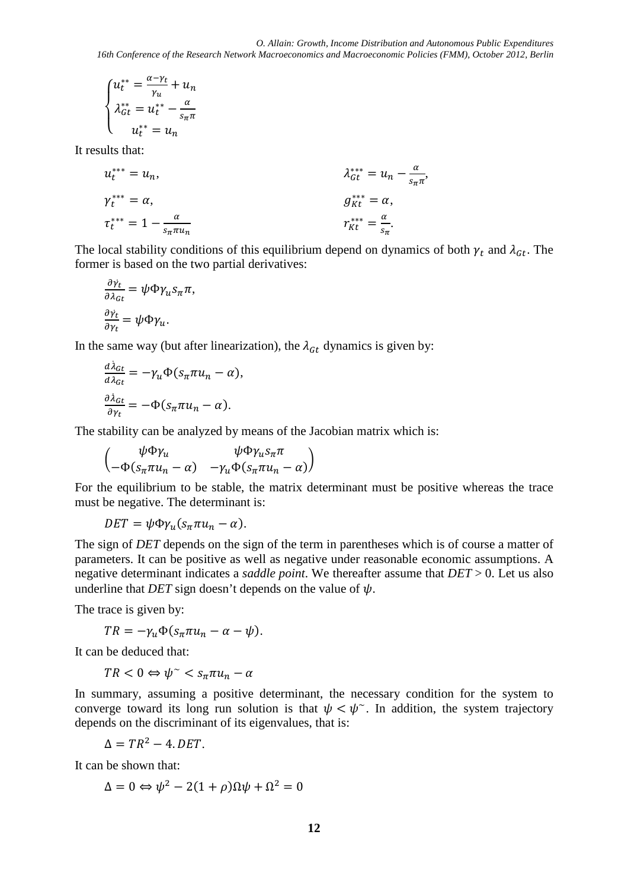$$
\begin{cases} u_t^{**} = \frac{\alpha - \gamma_t}{\gamma_u} + u_n \\ \lambda_{Gt}^{**} = u_t^{**} - \frac{\alpha}{s_{\pi}\pi} \\ u_t^{**} = u_n \end{cases}
$$

It results that:

$$
u_t^{***} = u_n,
$$
  
\n
$$
\gamma_t^{***} = \alpha,
$$
  
\n
$$
\gamma_t^{***} = 1 - \frac{\alpha}{s_n \pi u_n}
$$
  
\n
$$
u_t^{**} = u_n - \frac{\alpha}{s_n \pi n},
$$
  
\n
$$
u_t^{**} = u_n - \frac{\alpha}{s_n \pi n},
$$
  
\n
$$
u_t^{**} = \alpha,
$$
  
\n
$$
u_t^{**} = \alpha,
$$
  
\n
$$
u_t^{**} = \alpha,
$$
  
\n
$$
u_t^{**} = \alpha,
$$
  
\n
$$
u_t^{**} = \alpha,
$$

The local stability conditions of this equilibrium depend on dynamics of both  $\gamma_t$  and  $\lambda_{G_t}$ . The former is based on the two partial derivatives:

$$
\frac{\partial \gamma_t}{\partial \lambda_{Gt}} = \psi \Phi \gamma_u s_{\pi} \pi,
$$
  

$$
\frac{\partial \gamma_t}{\partial \gamma_t} = \psi \Phi \gamma_u.
$$

In the same way (but after linearization), the  $\lambda_{G_t}$  dynamics is given by:

$$
\frac{d\lambda_{Gt}}{d\lambda_{Gt}} = -\gamma_u \Phi(s_{\pi} \pi u_n - \alpha),
$$

$$
\frac{\partial \lambda_{Gt}}{\partial \gamma_t} = -\Phi(s_{\pi} \pi u_n - \alpha).
$$

The stability can be analyzed by means of the Jacobian matrix which is:

$$
\begin{pmatrix}\n\psi \Phi \gamma_u & \psi \Phi \gamma_u s_\pi \pi \\
-\Phi (s_\pi \pi u_n - \alpha) & -\gamma_u \Phi (s_\pi \pi u_n - \alpha)\n\end{pmatrix}
$$

For the equilibrium to be stable, the matrix determinant must be positive whereas the trace must be negative. The determinant is:

 $DEF = \psi \Phi \gamma_u (s_\pi \pi u_n - \alpha).$ 

The sign of *DET* depends on the sign of the term in parentheses which is of course a matter of parameters. It can be positive as well as negative under reasonable economic assumptions. A negative determinant indicates a *saddle point*. We thereafter assume that *DET* > 0. Let us also underline that *DET* sign doesn't depends on the value of  $\psi$ .

The trace is given by:

$$
TR = -\gamma_u \Phi(s_\pi \pi u_n - \alpha - \psi).
$$

It can be deduced that:

$$
TR < 0 \Leftrightarrow \psi^{\sim} < s_{\pi} \pi u_n - \alpha
$$

In summary, assuming a positive determinant, the necessary condition for the system to converge toward its long run solution is that  $\psi < \psi$ . In addition, the system trajectory depends on the discriminant of its eigenvalues, that is:

$$
\Delta = TR^2 - 4. DET.
$$

It can be shown that:

$$
\Delta = 0 \Leftrightarrow \psi^2 - 2(1+\rho)\Omega\psi + \Omega^2 = 0
$$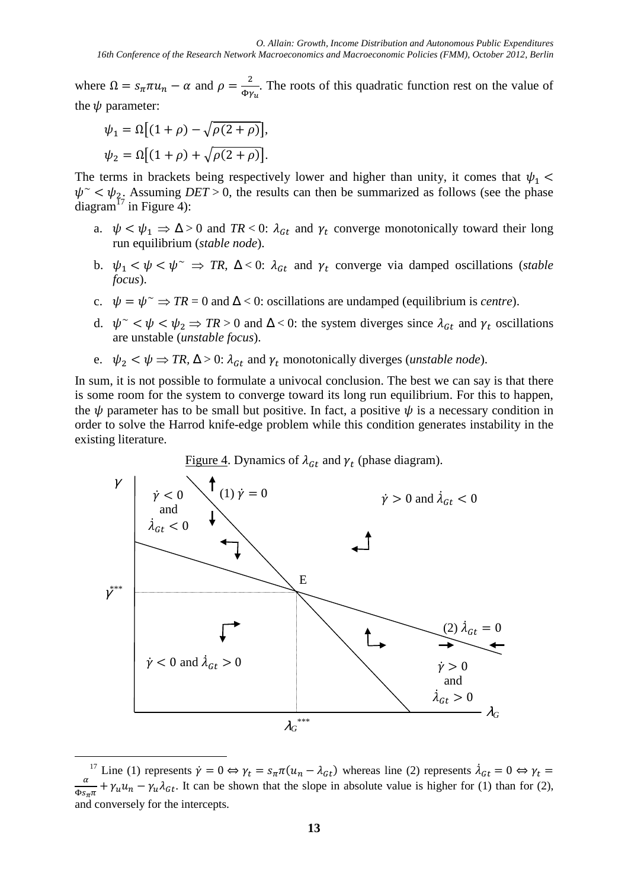where  $\Omega = s_{\pi} \pi u_n - \alpha$  and  $\rho = \frac{2}{\Phi v}$  $\frac{2}{\Phi y_u}$ . The roots of this quadratic function rest on the value of the  $\psi$  parameter:

$$
\psi_1 = \Omega \left[ (1+\rho) - \sqrt{\rho(2+\rho)} \right],
$$
  

$$
\psi_2 = \Omega \left[ (1+\rho) + \sqrt{\rho(2+\rho)} \right].
$$

 $\overline{a}$ 

The terms in brackets being respectively lower and higher than unity, it comes that  $\psi_1$  <  $\psi^{\sim} < \psi_{2}$ . Assuming *DET* > 0, the results can then be summarized as follows (see the phase diagram<sup> $17$ </sup> in Figure 4):

- a.  $\psi < \psi_1 \Rightarrow \Delta > 0$  and  $TR < 0$ :  $\lambda_{G_t}$  and  $\gamma_t$  converge monotonically toward their long run equilibrium (*stable node*).
- b.  $\psi_1 < \psi < \psi^* \Rightarrow TR$ ,  $\Delta < 0$ :  $\lambda_{gt}$  and  $\gamma_t$  converge via damped oscillations (*stable focus*).
- c.  $\psi = \psi^* \Rightarrow TR = 0$  and  $\Delta < 0$ : oscillations are undamped (equilibrium is *centre*).
- d.  $\psi^{\sim} < \psi < \psi_2 \Rightarrow TR > 0$  and  $\Delta < 0$ : the system diverges since  $\lambda_{Gt}$  and  $\gamma_t$  oscillations are unstable (*unstable focus*).
- e.  $\psi_2 < \psi \Rightarrow TR$ ,  $\Delta > 0$ :  $\lambda_{Gt}$  and  $\gamma_t$  monotonically diverges (*unstable node*).

In sum, it is not possible to formulate a univocal conclusion. The best we can say is that there is some room for the system to converge toward its long run equilibrium. For this to happen, the  $\psi$  parameter has to be small but positive. In fact, a positive  $\psi$  is a necessary condition in order to solve the Harrod knife-edge problem while this condition generates instability in the existing literature.



<sup>&</sup>lt;sup>17</sup> Line (1) represents  $\dot{\gamma} = 0 \Leftrightarrow \gamma_t = s_{\pi} \pi (u_n - \lambda_{gt})$  whereas line (2) represents  $\dot{\lambda}_{gt} = 0 \Leftrightarrow \gamma_t =$  $\alpha$  $\frac{a}{\Phi s_{\pi \pi}} + \gamma_u u_n - \gamma_u \lambda_{Gt}$ . It can be shown that the slope in absolute value is higher for (1) than for (2), and conversely for the intercepts.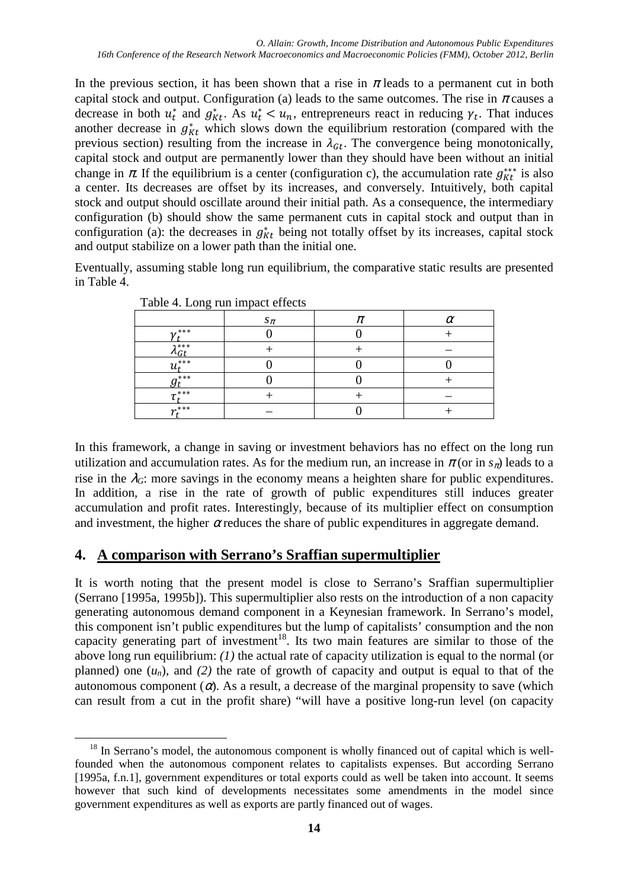In the previous section, it has been shown that a rise in  $\pi$  leads to a permanent cut in both capital stock and output. Configuration (a) leads to the same outcomes. The rise in  $\pi$  causes a decrease in both  $u_t^*$  and  $g_{kt}^*$ . As  $u_t^* < u_n$ , entrepreneurs react in reducing  $\gamma_t$ . That induces another decrease in  $g_{Kt}^*$  which slows down the equilibrium restoration (compared with the previous section) resulting from the increase in  $\lambda_{\text{G}t}$ . The convergence being monotonically, capital stock and output are permanently lower than they should have been without an initial change in  $\pi$ . If the equilibrium is a center (configuration c), the accumulation rate  $g_{Kt}^{***}$  is also a center. Its decreases are offset by its increases, and conversely. Intuitively, both capital stock and output should oscillate around their initial path. As a consequence, the intermediary configuration (b) should show the same permanent cuts in capital stock and output than in configuration (a): the decreases in  $g_{Kt}^*$  being not totally offset by its increases, capital stock and output stabilize on a lower path than the initial one.

Eventually, assuming stable long run equilibrium, the comparative static results are presented in Table 4.

| $\checkmark$     |           |   |
|------------------|-----------|---|
|                  | $s_{\pi}$ | r |
| $2^{***}$        |           |   |
| $7***$           |           |   |
| $***$            |           |   |
| $\mathbf{a}$ *** |           |   |
| $+***$           |           |   |
| $\mathbf{v}$ *** |           |   |

Table 4. Long run impact effects

In this framework, a change in saving or investment behaviors has no effect on the long run utilization and accumulation rates. As for the medium run, an increase in  $\pi$  (or in  $s_{\pi}$ ) leads to a rise in the  $\lambda_G$ : more savings in the economy means a heighten share for public expenditures. In addition, a rise in the rate of growth of public expenditures still induces greater accumulation and profit rates. Interestingly, because of its multiplier effect on consumption and investment, the higher  $\alpha$  reduces the share of public expenditures in aggregate demand.

## **4. A comparison with Serrano's Sraffian supermultiplier**

It is worth noting that the present model is close to Serrano's Sraffian supermultiplier (Serrano [1995a, 1995b]). This supermultiplier also rests on the introduction of a non capacity generating autonomous demand component in a Keynesian framework. In Serrano's model, this component isn't public expenditures but the lump of capitalists' consumption and the non capacity generating part of investment<sup>18</sup>. Its two main features are similar to those of the above long run equilibrium: *(1)* the actual rate of capacity utilization is equal to the normal (or planned) one  $(u_n)$ , and  $(2)$  the rate of growth of capacity and output is equal to that of the autonomous component  $(\alpha)$ . As a result, a decrease of the marginal propensity to save (which can result from a cut in the profit share) "will have a positive long-run level (on capacity

 $\overline{a}$  $18$  In Serrano's model, the autonomous component is wholly financed out of capital which is wellfounded when the autonomous component relates to capitalists expenses. But according Serrano [1995a, f.n.1], government expenditures or total exports could as well be taken into account. It seems however that such kind of developments necessitates some amendments in the model since government expenditures as well as exports are partly financed out of wages.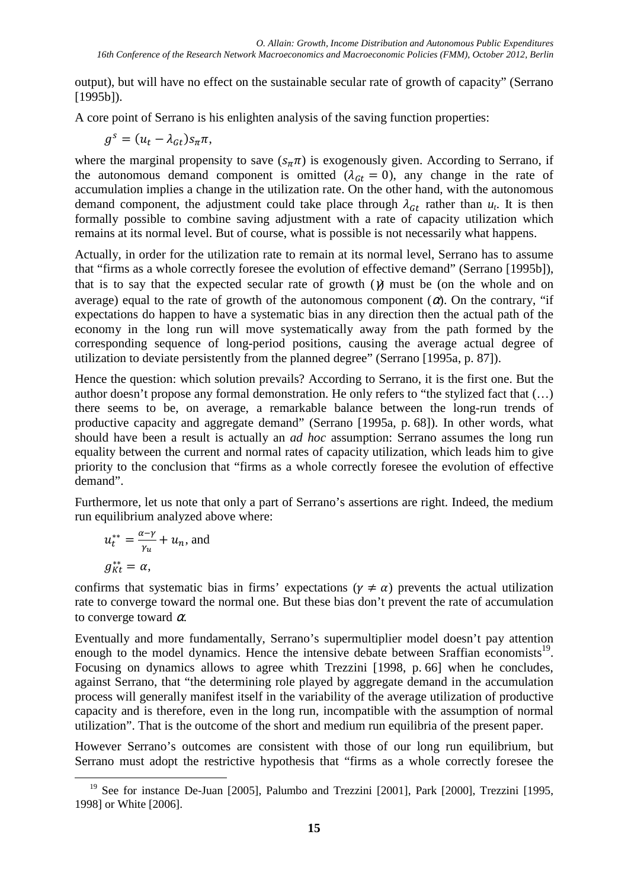output), but will have no effect on the sustainable secular rate of growth of capacity" (Serrano [1995b]).

A core point of Serrano is his enlighten analysis of the saving function properties:

$$
g^s = (u_t - \lambda_{Gt})s_{\pi}\pi,
$$

where the marginal propensity to save  $(s_{\pi}\pi)$  is exogenously given. According to Serrano, if the autonomous demand component is omitted  $(\lambda_{G_t} = 0)$ , any change in the rate of accumulation implies a change in the utilization rate. On the other hand, with the autonomous demand component, the adjustment could take place through  $\lambda_{G_t}$  rather than  $u_t$ . It is then formally possible to combine saving adjustment with a rate of capacity utilization which remains at its normal level. But of course, what is possible is not necessarily what happens.

Actually, in order for the utilization rate to remain at its normal level, Serrano has to assume that "firms as a whole correctly foresee the evolution of effective demand" (Serrano [1995b]), that is to say that the expected secular rate of growth  $(y)$  must be (on the whole and on average) equal to the rate of growth of the autonomous component  $(\alpha)$ . On the contrary, "if expectations do happen to have a systematic bias in any direction then the actual path of the economy in the long run will move systematically away from the path formed by the corresponding sequence of long-period positions, causing the average actual degree of utilization to deviate persistently from the planned degree" (Serrano [1995a, p. 87]).

Hence the question: which solution prevails? According to Serrano, it is the first one. But the author doesn't propose any formal demonstration. He only refers to "the stylized fact that (…) there seems to be, on average, a remarkable balance between the long-run trends of productive capacity and aggregate demand" (Serrano [1995a, p. 68]). In other words, what should have been a result is actually an *ad hoc* assumption: Serrano assumes the long run equality between the current and normal rates of capacity utilization, which leads him to give priority to the conclusion that "firms as a whole correctly foresee the evolution of effective demand".

Furthermore, let us note that only a part of Serrano's assertions are right. Indeed, the medium run equilibrium analyzed above where:

$$
u_t^{**} = \frac{\alpha - \gamma}{\gamma_u} + u_n, \text{ and}
$$
  

$$
g_{Kt}^{**} = \alpha,
$$

 $\overline{a}$ 

confirms that systematic bias in firms' expectations ( $\nu \neq \alpha$ ) prevents the actual utilization rate to converge toward the normal one. But these bias don't prevent the rate of accumulation to converge toward  $\alpha$ .

Eventually and more fundamentally, Serrano's supermultiplier model doesn't pay attention enough to the model dynamics. Hence the intensive debate between Sraffian economists<sup>19</sup>. Focusing on dynamics allows to agree whith Trezzini [1998, p. 66] when he concludes, against Serrano, that "the determining role played by aggregate demand in the accumulation process will generally manifest itself in the variability of the average utilization of productive capacity and is therefore, even in the long run, incompatible with the assumption of normal utilization". That is the outcome of the short and medium run equilibria of the present paper.

However Serrano's outcomes are consistent with those of our long run equilibrium, but Serrano must adopt the restrictive hypothesis that "firms as a whole correctly foresee the

<sup>&</sup>lt;sup>19</sup> See for instance De-Juan [2005], Palumbo and Trezzini [2001], Park [2000], Trezzini [1995, 1998] or White [2006].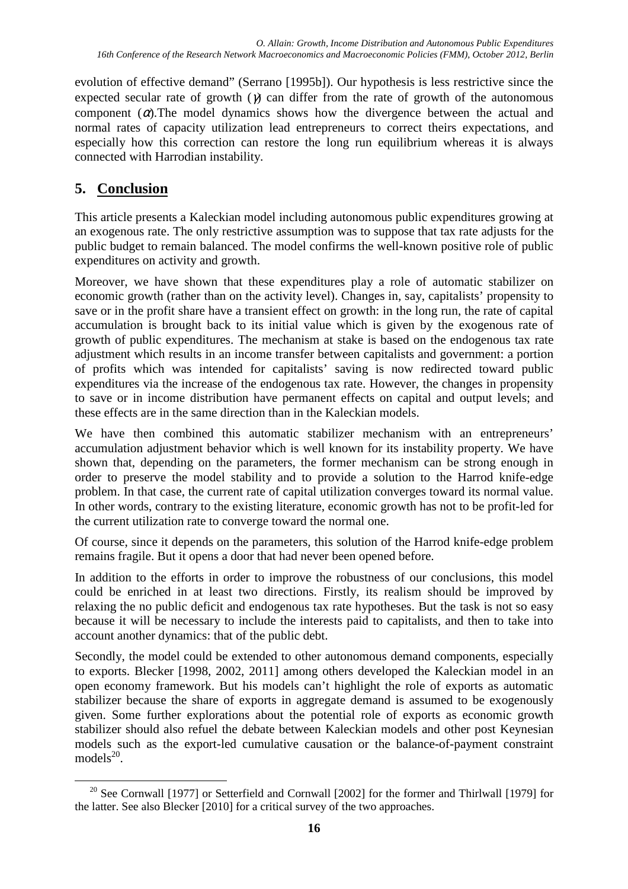evolution of effective demand" (Serrano [1995b]). Our hypothesis is less restrictive since the expected secular rate of growth  $(\gamma)$  can differ from the rate of growth of the autonomous component  $(\alpha)$ . The model dynamics shows how the divergence between the actual and normal rates of capacity utilization lead entrepreneurs to correct theirs expectations, and especially how this correction can restore the long run equilibrium whereas it is always connected with Harrodian instability.

# **5. Conclusion**

This article presents a Kaleckian model including autonomous public expenditures growing at an exogenous rate. The only restrictive assumption was to suppose that tax rate adjusts for the public budget to remain balanced. The model confirms the well-known positive role of public expenditures on activity and growth.

Moreover, we have shown that these expenditures play a role of automatic stabilizer on economic growth (rather than on the activity level). Changes in, say, capitalists' propensity to save or in the profit share have a transient effect on growth: in the long run, the rate of capital accumulation is brought back to its initial value which is given by the exogenous rate of growth of public expenditures. The mechanism at stake is based on the endogenous tax rate adjustment which results in an income transfer between capitalists and government: a portion of profits which was intended for capitalists' saving is now redirected toward public expenditures via the increase of the endogenous tax rate. However, the changes in propensity to save or in income distribution have permanent effects on capital and output levels; and these effects are in the same direction than in the Kaleckian models.

We have then combined this automatic stabilizer mechanism with an entrepreneurs' accumulation adjustment behavior which is well known for its instability property. We have shown that, depending on the parameters, the former mechanism can be strong enough in order to preserve the model stability and to provide a solution to the Harrod knife-edge problem. In that case, the current rate of capital utilization converges toward its normal value. In other words, contrary to the existing literature, economic growth has not to be profit-led for the current utilization rate to converge toward the normal one.

Of course, since it depends on the parameters, this solution of the Harrod knife-edge problem remains fragile. But it opens a door that had never been opened before.

In addition to the efforts in order to improve the robustness of our conclusions, this model could be enriched in at least two directions. Firstly, its realism should be improved by relaxing the no public deficit and endogenous tax rate hypotheses. But the task is not so easy because it will be necessary to include the interests paid to capitalists, and then to take into account another dynamics: that of the public debt.

Secondly, the model could be extended to other autonomous demand components, especially to exports. Blecker [1998, 2002, 2011] among others developed the Kaleckian model in an open economy framework. But his models can't highlight the role of exports as automatic stabilizer because the share of exports in aggregate demand is assumed to be exogenously given. Some further explorations about the potential role of exports as economic growth stabilizer should also refuel the debate between Kaleckian models and other post Keynesian models such as the export-led cumulative causation or the balance-of-payment constraint  $models^{20}$ .

 $\overline{a}$ <sup>20</sup> See Cornwall [1977] or Setterfield and Cornwall [2002] for the former and Thirlwall [1979] for the latter. See also Blecker [2010] for a critical survey of the two approaches.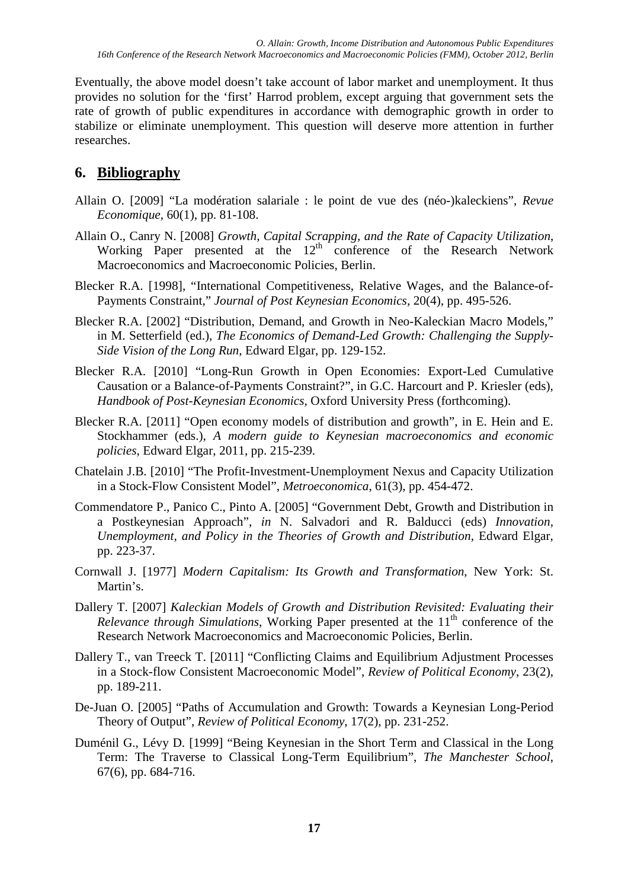Eventually, the above model doesn't take account of labor market and unemployment. It thus provides no solution for the 'first' Harrod problem, except arguing that government sets the rate of growth of public expenditures in accordance with demographic growth in order to stabilize or eliminate unemployment. This question will deserve more attention in further researches.

# **6. Bibliography**

- Allain O. [2009] "La modération salariale : le point de vue des (néo-)kaleckiens", *Revue Economique*, 60(1), pp. 81-108.
- Allain O., Canry N. [2008] *Growth, Capital Scrapping, and the Rate of Capacity Utilization*, Working Paper presented at the 12<sup>th</sup> conference of the Research Network Macroeconomics and Macroeconomic Policies, Berlin.
- Blecker R.A. [1998], "International Competitiveness, Relative Wages, and the Balance-of-Payments Constraint," *Journal of Post Keynesian Economics*, 20(4), pp. 495-526.
- Blecker R.A. [2002] "Distribution, Demand, and Growth in Neo-Kaleckian Macro Models," in M. Setterfield (ed.), *The Economics of Demand-Led Growth: Challenging the Supply-Side Vision of the Long Run*, Edward Elgar, pp. 129-152.
- Blecker R.A. [2010] "Long-Run Growth in Open Economies: Export-Led Cumulative Causation or a Balance-of-Payments Constraint?", in G.C. Harcourt and P. Kriesler (eds), *Handbook of Post-Keynesian Economics*, Oxford University Press (forthcoming).
- Blecker R.A. [2011] "Open economy models of distribution and growth", in E. Hein and E. Stockhammer (eds.), *A modern guide to Keynesian macroeconomics and economic policies*, Edward Elgar, 2011, pp. 215-239.
- Chatelain J.B. [2010] "The Profit-Investment-Unemployment Nexus and Capacity Utilization in a Stock-Flow Consistent Model", *Metroeconomica*, 61(3), pp. 454-472.
- Commendatore P., Panico C., Pinto A. [2005] "Government Debt, Growth and Distribution in a Postkeynesian Approach", *in* N. Salvadori and R. Balducci (eds) *Innovation, Unemployment, and Policy in the Theories of Growth and Distribution*, Edward Elgar, pp. 223-37.
- Cornwall J. [1977] *Modern Capitalism: Its Growth and Transformation*, New York: St. Martin's.
- Dallery T. [2007] *Kaleckian Models of Growth and Distribution Revisited: Evaluating their Relevance through Simulations*, Working Paper presented at the 11<sup>th</sup> conference of the Research Network Macroeconomics and Macroeconomic Policies, Berlin.
- Dallery T., van Treeck T. [2011] "Conflicting Claims and Equilibrium Adjustment Processes in a Stock-flow Consistent Macroeconomic Model", *Review of Political Economy*, 23(2), pp. 189-211.
- De-Juan O. [2005] "Paths of Accumulation and Growth: Towards a Keynesian Long-Period Theory of Output", *Review of Political Economy*, 17(2), pp. 231-252.
- Duménil G., Lévy D. [1999] "Being Keynesian in the Short Term and Classical in the Long Term: The Traverse to Classical Long-Term Equilibrium", *The Manchester School*, 67(6), pp. 684-716.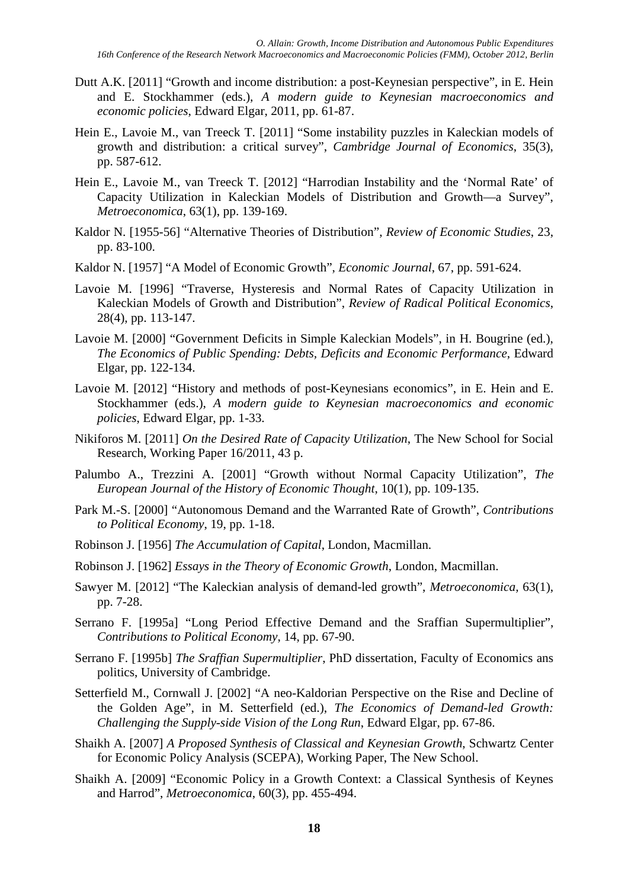- Dutt A.K. [2011] "Growth and income distribution: a post-Keynesian perspective", in E. Hein and E. Stockhammer (eds.), *A modern guide to Keynesian macroeconomics and economic policies*, Edward Elgar, 2011, pp. 61-87.
- Hein E., Lavoie M., van Treeck T. [2011] "Some instability puzzles in Kaleckian models of growth and distribution: a critical survey", *Cambridge Journal of Economics*, 35(3), pp. 587-612.
- Hein E., Lavoie M., van Treeck T. [2012] "Harrodian Instability and the 'Normal Rate' of Capacity Utilization in Kaleckian Models of Distribution and Growth—a Survey", *Metroeconomica*, 63(1), pp. 139-169.
- Kaldor N. [1955-56] "Alternative Theories of Distribution", *Review of Economic Studies*, 23, pp. 83-100.
- Kaldor N. [1957] "A Model of Economic Growth", *Economic Journal*, 67, pp. 591-624.
- Lavoie M. [1996] "Traverse, Hysteresis and Normal Rates of Capacity Utilization in Kaleckian Models of Growth and Distribution", *Review of Radical Political Economics*, 28(4), pp. 113-147.
- Lavoie M. [2000] "Government Deficits in Simple Kaleckian Models", in H. Bougrine (ed.), *The Economics of Public Spending: Debts, Deficits and Economic Performance*, Edward Elgar, pp. 122-134.
- Lavoie M. [2012] "History and methods of post-Keynesians economics", in E. Hein and E. Stockhammer (eds.), *A modern guide to Keynesian macroeconomics and economic policies*, Edward Elgar, pp. 1-33.
- Nikiforos M. [2011] *On the Desired Rate of Capacity Utilization*, The New School for Social Research, Working Paper 16/2011, 43 p.
- Palumbo A., Trezzini A. [2001] "Growth without Normal Capacity Utilization", *The European Journal of the History of Economic Thought*, 10(1), pp. 109-135.
- Park M.-S. [2000] "Autonomous Demand and the Warranted Rate of Growth", *Contributions to Political Economy*, 19, pp. 1-18.
- Robinson J. [1956] *The Accumulation of Capital*, London, Macmillan.
- Robinson J. [1962] *Essays in the Theory of Economic Growth*, London, Macmillan.
- Sawyer M. [2012] "The Kaleckian analysis of demand-led growth", *Metroeconomica,* 63(1), pp. 7-28.
- Serrano F. [1995a] "Long Period Effective Demand and the Sraffian Supermultiplier", *Contributions to Political Economy*, 14, pp. 67-90.
- Serrano F. [1995b] *The Sraffian Supermultiplier*, PhD dissertation, Faculty of Economics ans politics, University of Cambridge.
- Setterfield M., Cornwall J. [2002] "A neo-Kaldorian Perspective on the Rise and Decline of the Golden Age", in M. Setterfield (ed.), *The Economics of Demand-led Growth: Challenging the Supply-side Vision of the Long Run*, Edward Elgar, pp. 67-86.
- Shaikh A. [2007] *A Proposed Synthesis of Classical and Keynesian Growth*, Schwartz Center for Economic Policy Analysis (SCEPA), Working Paper, The New School.
- Shaikh A. [2009] "Economic Policy in a Growth Context: a Classical Synthesis of Keynes and Harrod", *Metroeconomica*, 60(3), pp. 455-494.